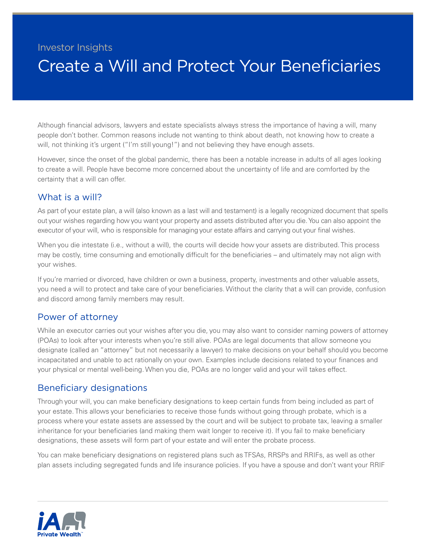## Investor Insights

# Create a Will and Protect Your Beneficiaries

Although financial advisors, lawyers and estate specialists always stress the importance of having a will, many people don't bother. Common reasons include not wanting to think about death, not knowing how to create a will, not thinking it's urgent ("I'm still young!") and not believing they have enough assets.

However, since the onset of the global pandemic, there has been a notable increase in adults of all ages looking to create a will. People have become more concerned about the uncertainty of life and are comforted by the certainty that a will can offer.

### What is a will?

As part of your estate plan, a will (also known as a last will and testament) is a legally recognized document that spells out your wishes regarding how you want your property and assets distributed after you die. You can also appoint the executor of your will, who is responsible for managing your estate affairs and carrying out your final wishes.

When you die intestate (i.e., without a will), the courts will decide how your assets are distributed. This process may be costly, time consuming and emotionally difficult for the beneficiaries – and ultimately may not align with your wishes.

If you're married or divorced, have children or own a business, property, investments and other valuable assets, you need a will to protect and take care of your beneficiaries. Without the clarity that a will can provide, confusion and discord among family members may result.

#### Power of attorney

While an executor carries out your wishes after you die, you may also want to consider naming powers of attorney (POAs) to look after your interests when you're still alive. POAs are legal documents that allow someone you designate (called an "attorney" but not necessarily a lawyer) to make decisions on your behalf should you become incapacitated and unable to act rationally on your own. Examples include decisions related to your finances and your physical or mental well-being. When you die, POAs are no longer valid and your will takes effect.

#### Beneficiary designations

Through your will, you can make beneficiary designations to keep certain funds from being included as part of your estate. This allows your beneficiaries to receive those funds without going through probate, which is a process where your estate assets are assessed by the court and will be subject to probate tax, leaving a smaller inheritance for your beneficiaries (and making them wait longer to receive it). If you fail to make beneficiary designations, these assets will form part of your estate and will enter the probate process.

You can make beneficiary designations on registered plans such as TFSAs, RRSPs and RRIFs, as well as other plan assets including segregated funds and life insurance policies. If you have a spouse and don't want your RRIF